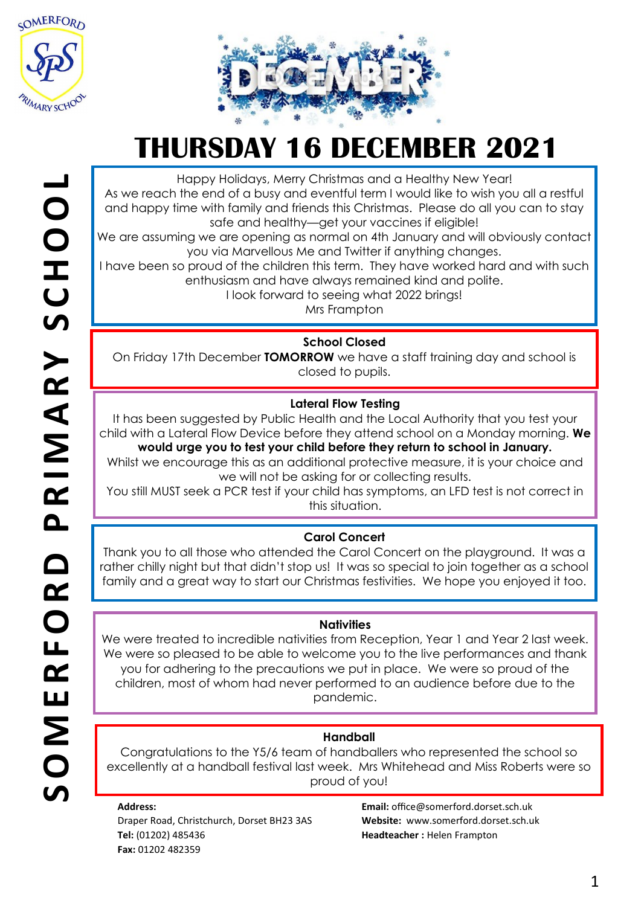



Happy Holidays, Merry Christmas and a Healthy New Year!

As we reach the end of a busy and eventful term I would like to wish you all a restful and happy time with family and friends this Christmas. Please do all you can to stay safe and healthy—get your vaccines if eligible!

We are assuming we are opening as normal on 4th January and will obviously contact you via Marvellous Me and Twitter if anything changes.

I have been so proud of the children this term. They have worked hard and with such enthusiasm and have always remained kind and polite.

I look forward to seeing what 2022 brings!

Mrs Frampton

## **School Closed**

On Friday 17th December **TOMORROW** we have a staff training day and school is closed to pupils.

## **Lateral Flow Testing**

It has been suggested by Public Health and the Local Authority that you test your child with a Lateral Flow Device before they attend school on a Monday morning. **We** 

**would urge you to test your child before they return to school in January.** Whilst we encourage this as an additional protective measure, it is your choice and we will not be asking for or collecting results.

You still MUST seek a PCR test if your child has symptoms, an LFD test is not correct in this situation.

## **Carol Concert**

Thank you to all those who attended the Carol Concert on the playground. It was a rather chilly night but that didn't stop us! It was so special to join together as a school family and a great way to start our Christmas festivities. We hope you enjoyed it too.

## **Nativities**

We were treated to incredible nativities from Reception, Year 1 and Year 2 last week. We were so pleased to be able to welcome you to the live performances and thank you for adhering to the precautions we put in place. We were so proud of the children, most of whom had never performed to an audience before due to the pandemic.

## **Handball**

Congratulations to the Y5/6 team of handballers who represented the school so excellently at a handball festival last week. Mrs Whitehead and Miss Roberts were so proud of you!

#### **Address:**

Draper Road, Christchurch, Dorset BH23 3AS **Tel:** (01202) 485436 **Fax:** 01202 482359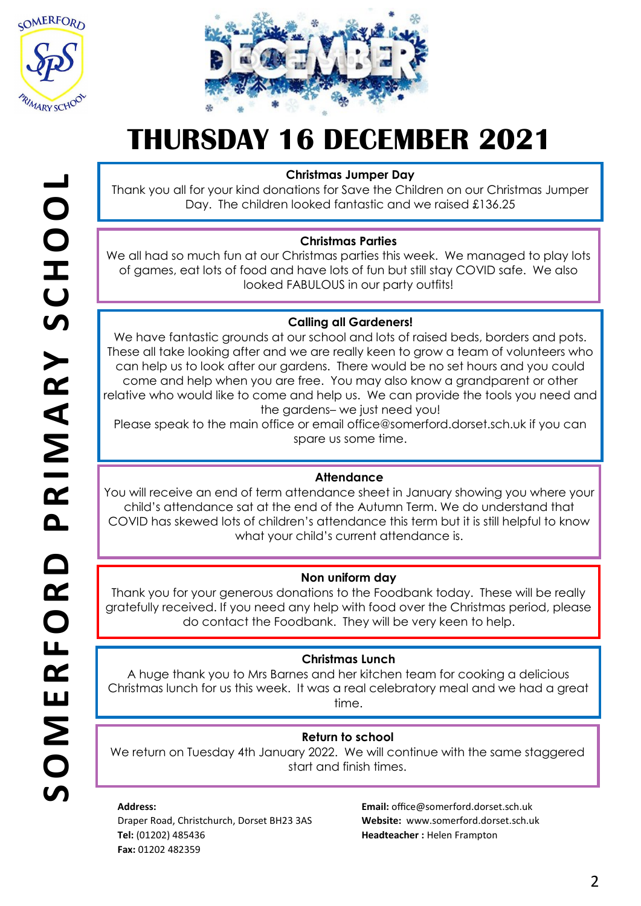



#### **Christmas Jumper Day**

Thank you all for your kind donations for Save the Children on our Christmas Jumper Day. The children looked fantastic and we raised £136.25

### **Christmas Parties**

We all had so much fun at our Christmas parties this week. We managed to play lots of games, eat lots of food and have lots of fun but still stay COVID safe. We also looked FABULOUS in our party outfits!

### **Calling all Gardeners!**

We have fantastic grounds at our school and lots of raised beds, borders and pots. These all take looking after and we are really keen to grow a team of volunteers who can help us to look after our gardens. There would be no set hours and you could come and help when you are free. You may also know a grandparent or other relative who would like to come and help us. We can provide the tools you need and the gardens– we just need you!

Please speak to the main office or email office@somerford.dorset.sch.uk if you can spare us some time.

#### **Attendance**

You will receive an end of term attendance sheet in January showing you where your child's attendance sat at the end of the Autumn Term. We do understand that COVID has skewed lots of children's attendance this term but it is still helpful to know what your child's current attendance is.

#### **Non uniform day**

Thank you for your generous donations to the Foodbank today. These will be really gratefully received. If you need any help with food over the Christmas period, please do contact the Foodbank. They will be very keen to help.

#### **Christmas Lunch**

A huge thank you to Mrs Barnes and her kitchen team for cooking a delicious Christmas lunch for us this week. It was a real celebratory meal and we had a great time.

#### **Return to school**

We return on Tuesday 4th January 2022. We will continue with the same staggered start and finish times.

#### **Address:**

Draper Road, Christchurch, Dorset BH23 3AS **Tel:** (01202) 485436 **Fax:** 01202 482359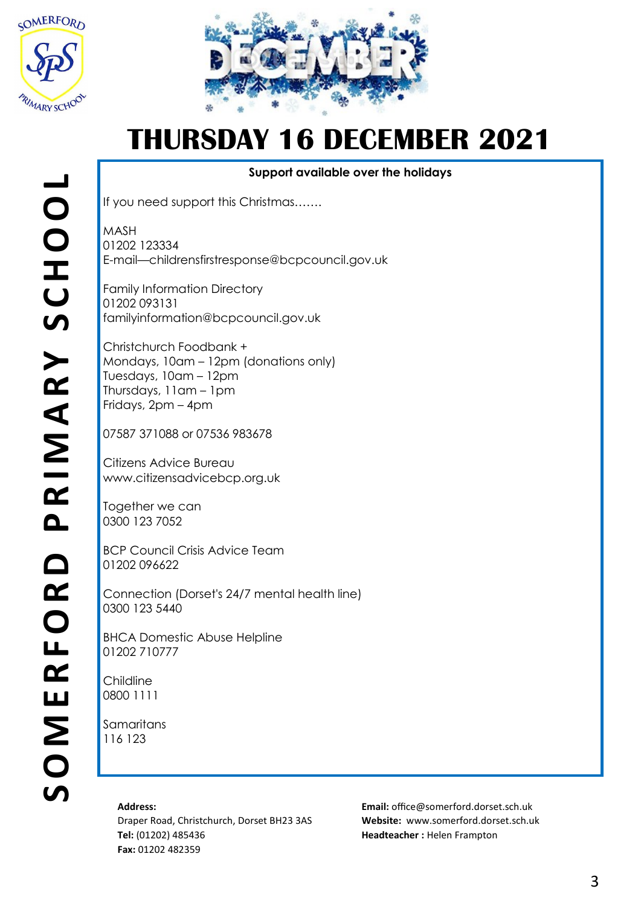



**Support available over the holidays**

If you need support this Christmas…….

MASH 01202 123334 E-mail—childrensfirstresponse@bcpcouncil.gov.uk

Family Information Directory 01202 093131 familyinformation@bcpcouncil.gov.uk

Christchurch Foodbank + Mondays, 10am – 12pm (donations only) Tuesdays, 10am – 12pm Thursdays, 11am – 1pm Fridays, 2pm – 4pm

07587 371088 or 07536 983678

Citizens Advice Bureau www.citizensadvicebcp.org.uk

Together we can 0300 123 7052

BCP Council Crisis Advice Team 01202 096622

Connection (Dorset's 24/7 mental health line) 0300 123 5440

BHCA Domestic Abuse Helpline 01202 710777

Childline 0800 1111

**Samaritans** 116 123

#### **Address:**

Draper Road, Christchurch, Dorset BH23 3AS **Tel:** (01202) 485436 **Fax:** 01202 482359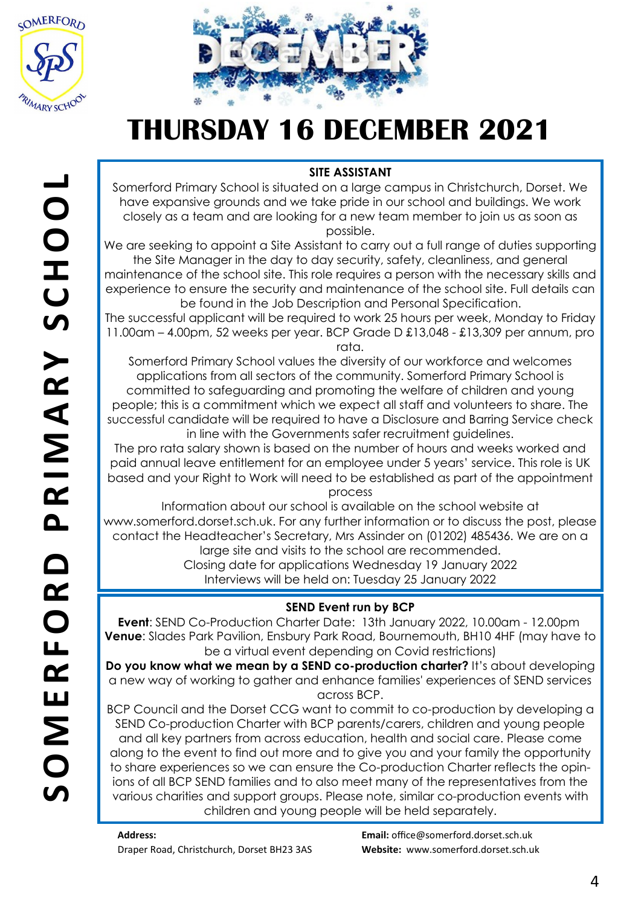



## **SITE ASSISTANT**

Somerford Primary School is situated on a large campus in Christchurch, Dorset. We have expansive grounds and we take pride in our school and buildings. We work closely as a team and are looking for a new team member to join us as soon as possible.

We are seeking to appoint a Site Assistant to carry out a full range of duties supporting the Site Manager in the day to day security, safety, cleanliness, and general maintenance of the school site. This role requires a person with the necessary skills and experience to ensure the security and maintenance of the school site. Full details can be found in the Job Description and Personal Specification.

The successful applicant will be required to work 25 hours per week, Monday to Friday 11.00am – 4.00pm, 52 weeks per year. BCP Grade D £13,048 - £13,309 per annum, pro rata.

Somerford Primary School values the diversity of our workforce and welcomes applications from all sectors of the community. Somerford Primary School is committed to safeguarding and promoting the welfare of children and young people; this is a commitment which we expect all staff and volunteers to share. The successful candidate will be required to have a Disclosure and Barring Service check in line with the Governments safer recruitment guidelines.

The pro rata salary shown is based on the number of hours and weeks worked and paid annual leave entitlement for an employee under 5 years' service. This role is UK based and your Right to Work will need to be established as part of the appointment process

Information about our school is available on the school website at www.somerford.dorset.sch.uk. For any further information or to discuss the post, please contact the Headteacher's Secretary, Mrs Assinder on (01202) 485436. We are on a large site and visits to the school are recommended.

Closing date for applications Wednesday 19 January 2022

Interviews will be held on: Tuesday 25 January 2022

## **SEND Event run by BCP**

**Event**: SEND Co-Production Charter Date: 13th January 2022, 10.00am - 12.00pm **Venue**: Slades Park Pavilion, Ensbury Park Road, Bournemouth, BH10 4HF (may have to be a virtual event depending on Covid restrictions)

**Do you know what we mean by a SEND co-production charter?** It's about developing a new way of working to gather and enhance families' experiences of SEND services across BCP.

BCP Council and the Dorset CCG want to commit to co-production by developing a SEND Co-production Charter with BCP parents/carers, children and young people and all key partners from across education, health and social care. Please come along to the event to find out more and to give you and your family the opportunity to share experiences so we can ensure the Co-production Charter reflects the opinions of all BCP SEND families and to also meet many of the representatives from the various charities and support groups. Please note, similar co-production events with children and young people will be held separately.